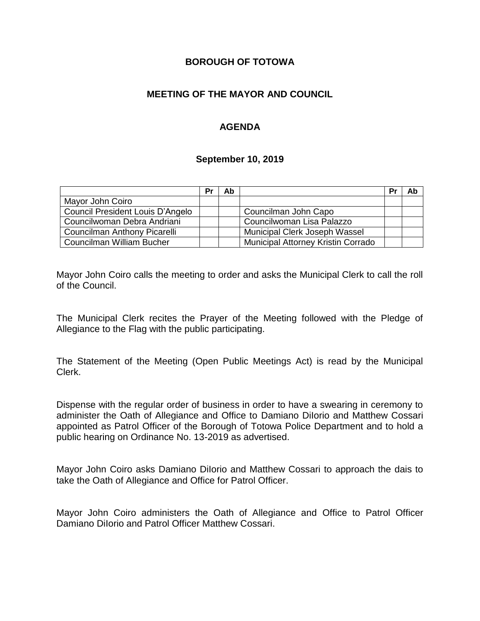### **BOROUGH OF TOTOWA**

## **MEETING OF THE MAYOR AND COUNCIL**

## **AGENDA**

#### **September 10, 2019**

|                                  | Pr | Ab |                                    | Pr | Ab |
|----------------------------------|----|----|------------------------------------|----|----|
| Mayor John Coiro                 |    |    |                                    |    |    |
| Council President Louis D'Angelo |    |    | Councilman John Capo               |    |    |
| Councilwoman Debra Andriani      |    |    | Councilwoman Lisa Palazzo          |    |    |
| Councilman Anthony Picarelli     |    |    | Municipal Clerk Joseph Wassel      |    |    |
| Councilman William Bucher        |    |    | Municipal Attorney Kristin Corrado |    |    |

Mayor John Coiro calls the meeting to order and asks the Municipal Clerk to call the roll of the Council.

The Municipal Clerk recites the Prayer of the Meeting followed with the Pledge of Allegiance to the Flag with the public participating.

The Statement of the Meeting (Open Public Meetings Act) is read by the Municipal Clerk.

Dispense with the regular order of business in order to have a swearing in ceremony to administer the Oath of Allegiance and Office to Damiano DiIorio and Matthew Cossari appointed as Patrol Officer of the Borough of Totowa Police Department and to hold a public hearing on Ordinance No. 13-2019 as advertised.

Mayor John Coiro asks Damiano DiIorio and Matthew Cossari to approach the dais to take the Oath of Allegiance and Office for Patrol Officer.

Mayor John Coiro administers the Oath of Allegiance and Office to Patrol Officer Damiano DiIorio and Patrol Officer Matthew Cossari.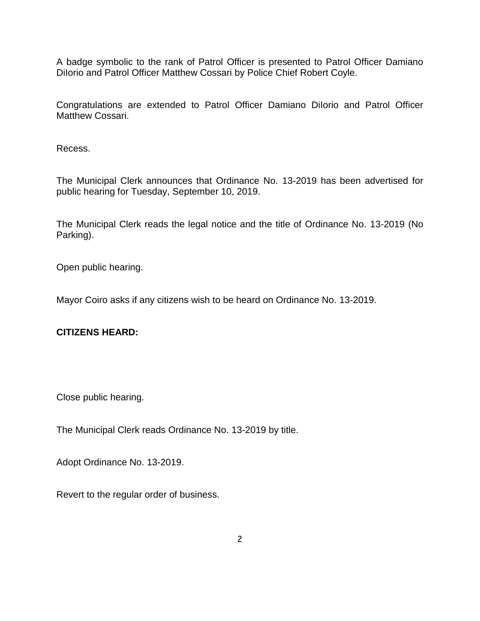A badge symbolic to the rank of Patrol Officer is presented to Patrol Officer Damiano Dilorio and Patrol Officer Matthew Cossari by Police Chief Robert Coyle.

Congratulations are extended to Patrol Officer Damiano DiIorio and Patrol Officer Matthew Cossari.

Recess.

The Municipal Clerk announces that Ordinance No. 13-2019 has been advertised for public hearing for Tuesday, September 10, 2019.

The Municipal Clerk reads the legal notice and the title of Ordinance No. 13-2019 (No Parking).

Open public hearing.

Mayor Coiro asks if any citizens wish to be heard on Ordinance No. 13-2019.

#### **CITIZENS HEARD:**

Close public hearing.

The Municipal Clerk reads Ordinance No. 13-2019 by title.

Adopt Ordinance No. 13-2019.

Revert to the regular order of business.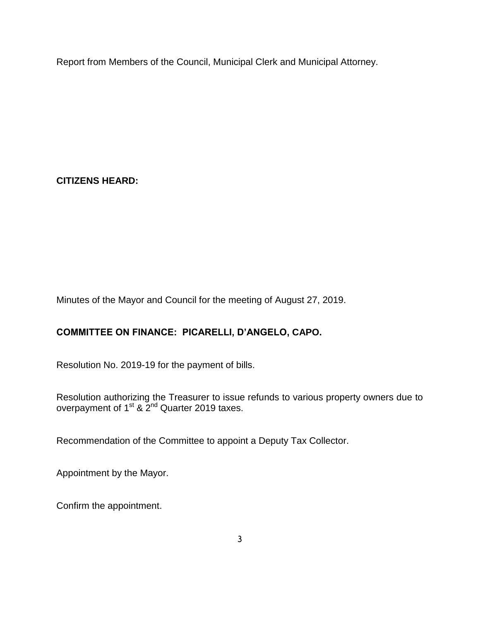Report from Members of the Council, Municipal Clerk and Municipal Attorney.

**CITIZENS HEARD:**

Minutes of the Mayor and Council for the meeting of August 27, 2019.

# **COMMITTEE ON FINANCE: PICARELLI, D'ANGELO, CAPO.**

Resolution No. 2019-19 for the payment of bills.

Resolution authorizing the Treasurer to issue refunds to various property owners due to overpayment of 1<sup>st</sup> & 2<sup>nd</sup> Quarter 2019 taxes.

Recommendation of the Committee to appoint a Deputy Tax Collector.

Appointment by the Mayor.

Confirm the appointment.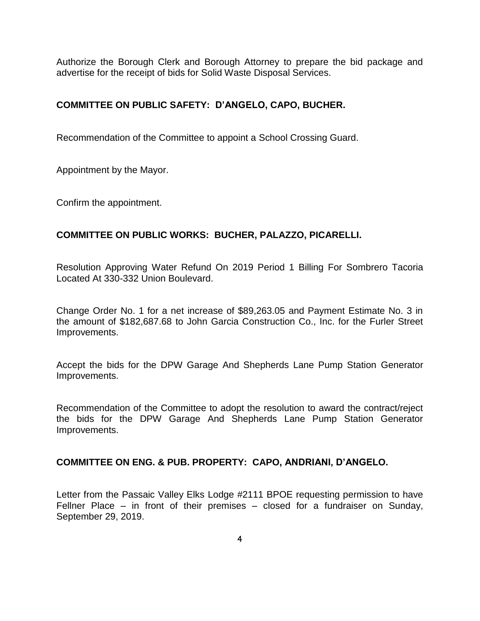Authorize the Borough Clerk and Borough Attorney to prepare the bid package and advertise for the receipt of bids for Solid Waste Disposal Services.

### **COMMITTEE ON PUBLIC SAFETY: D'ANGELO, CAPO, BUCHER.**

Recommendation of the Committee to appoint a School Crossing Guard.

Appointment by the Mayor.

Confirm the appointment.

#### **COMMITTEE ON PUBLIC WORKS: BUCHER, PALAZZO, PICARELLI.**

Resolution Approving Water Refund On 2019 Period 1 Billing For Sombrero Tacoria Located At 330-332 Union Boulevard.

Change Order No. 1 for a net increase of \$89,263.05 and Payment Estimate No. 3 in the amount of \$182,687.68 to John Garcia Construction Co., Inc. for the Furler Street Improvements.

Accept the bids for the DPW Garage And Shepherds Lane Pump Station Generator Improvements.

Recommendation of the Committee to adopt the resolution to award the contract/reject the bids for the DPW Garage And Shepherds Lane Pump Station Generator Improvements.

#### **COMMITTEE ON ENG. & PUB. PROPERTY: CAPO, ANDRIANI, D'ANGELO.**

Letter from the Passaic Valley Elks Lodge #2111 BPOE requesting permission to have Fellner Place – in front of their premises – closed for a fundraiser on Sunday, September 29, 2019.